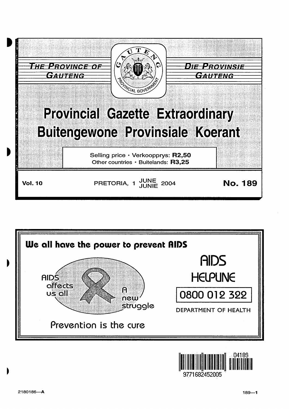



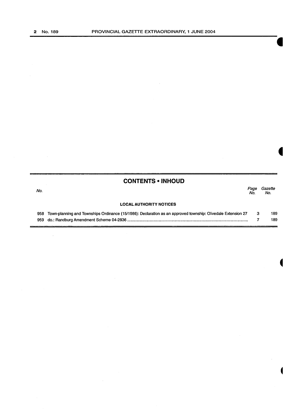$\sim$ 

## **CONTENTS • INHOUD**

| No. |                                | Page<br>No. | Gazette<br>No. |
|-----|--------------------------------|-------------|----------------|
|     | <b>LOCAL AUTHORITY NOTICES</b> |             |                |

| 958 Town-planning and Townships Ordinance (15/1986): Declaration as an approved township: Olivedale Extension 27 3 | 189 |
|--------------------------------------------------------------------------------------------------------------------|-----|
|                                                                                                                    | 189 |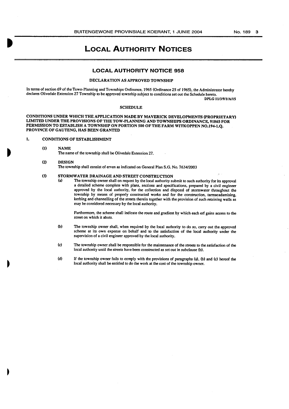## **LOCAL AUTHORITY NOTICES**

#### **LOCAL AUTHORITY NOTICE 958**

#### DECLARATION AS APPROVED TOWNSHIP

In terms of section 69 of the Town-Planning and Townships Ordinance, 1965 (Ordinance 25 of 1965), the Administrator hereby declares Olivedale Extension 27 Township to be approved township subject to conditions set out the Schedule hereto. DPLG 1113/911/A/15

#### **SCHEDULE**

CONDITIONS UNDER WHICH THE APPLICATION MADE BY MAVERICK DEVELOPMENTS (PROPRIETARY) LIMITED UNDER THE PROVISIONS OF THE TOW-PLANNING AND TOWNSHIPS ORDINANCE, 91865 FOR PERMISSION TO ESTABLISH A TOWNSHIP ON PORTION 500 OF THE FARM WITKOPPEN NO.l94-l.Q. PROVINCE OF GAUTENG, HAS BEEN GRANTED

#### I. CONDITIONS OF ESTABLISHMENT

- (I) NAME The name of the township shall be Olivedale Extension 27.
- (2) DESIGN The township shall consist of erven as indicated on General Plan S.G. No. 7634/2003

## (3) STORMWATER DRAINAGE AND STREET CONSTRUCTION<br>(a) The township owner shall on request by the local authority si

The township owner shall on request by the local authority submit to such authority for its approval a detailed scheme complete with plans, sections and specifications, prepared by a civil engineer approved by the local authority, for the collection and disposal of stormwater throughout the township by means of properly constructed works and for the construction, tarmacadamising, kerbing and channelling of the streets therein together with the provision of such retaining walls as may be considered necessary by the local authority.

Furthermore, the scheme shall indicate the route and gradient by which each erf gains access to the street on which it abuts.

- (b) The township owner shall, when required by the local authority to do so, carry out the approved scheme at its own expense on behalf and to the satisfaction of the local authority under the supervision of a civil engineer approved by the local authority.
- (c) The township owner shall be responsible for the maintenance of the streets to the satisfaction of the local authority until the streets have been constructed as set out in subclause (b).
- (d) If the township owner fails to comply with the provisions of paragraphs (a), (b) and (c) hereof the local authority shall be entitled to do the work at the cost of the township owner.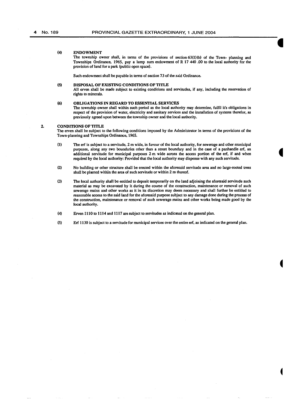#### (4) ENDOWMENT

The township owner shall, in terms of the provisions of section  $63(1)(b)$  of the Town- planning and Townships Ordinance, 1965, pay a lump sum endowment of R 17 440 .00 to the local authority for the provision of land for a park (public open space).

Such endowment shall be payable in tenns of section 73 of the said Ordinance.

#### (5) DISPOSAL OF EXISTING CONDITIONS OF TITLE

All erven shall be made subject to existing conditions and servitudes, if any, including the reservation of rights to minerals.

#### (6) OBLIGATIONS IN REGARD TO ESSENTIAL SERVICES

The township owner shall within such period as the local authority may determine, fulfil it's obligations in respect of the provision of water, electricity and sanitary services and the installation of systems therefor, as previously agreed upon between the township owner and the local authority.

#### 2. CONDITIONS OF TITLE

The erven shall be subject to the following conditions imposed by the Administrator in tenns of the provisions of the Town-planning and Townships Ordinance, 1965.

- (1) The erf is subject to a servitude, 2m wide, in favour of the local authority, for sewerage and other municipal purposes, along any two boundaries other than a street boundary and in the case of a panhandle erf, an additional servitude for municipal purposes 2m wide across the access portion of the erf, if and when required by the local authority: Provided that the local authority may dispense with any such servitude.
- (2) No building or other structure shall be erected within the aforesaid servitude area and no large-rooted trees shall be planted within the area of such servitude or within 2 m thereof.
- (3) The local authority shall be entitled to deposit temporarily on the land adjoining the aforesaid servitude such material as may be excavated by it during the course of the construction, maintenance or removal of such sewerage mains and other works as it in its discretion may deem necessary and shall further be entitled to reasonable access to the said land for the aforesaid purpose subject to any damage done during the process of the construction, maintenance or removal of such sewerage mains and other works being made good by the local authority.
- (4) Erven 1110 to 1114 and 1117 are subject to servitudes as indicated on the general plan.
- (5) Erf 1130 is subject to a servitude for municipal services over the entire erf, as indicated on the general plan.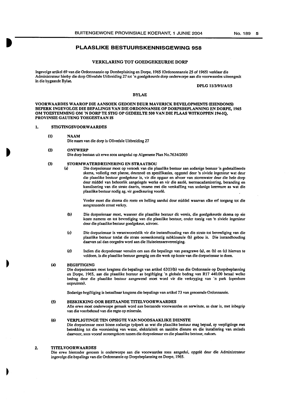#### PLAASLIKE BESTUURSKENNISGEWING 958

#### VERKLARING TOT GOEDGEKEURDE DORP

lngevolge artikel 69 van die Ordonnnansie op Dorsbeplaining en Dorpe, 1965 (Ordononnansie 25 of 1965) verklaar die Administrateur hierby die dorp Olivedale Uitbreiding 27 tot 'n goedgekeurde dorp onderworpe aan die voorwaardes uiteengesit in die bygaande Bylae.

DPLG 1113/9/1/A/15

#### BYLAE

VOORWAARDES W AAROP DIE AANSOEK GEDOEN DEUR MAVERICK DEVELOPMENTS (EIENDOMS) BEPERK INGEVOLGE DIE BEPALINGS VAN DIE ORDONNANSIE OP DORPSBEPLANNING EN DORPE, 1965 OM TOESTEMMING OM 'N DORP TE STIG OP GEDEELTE 500 VAN DIE PLAAS WITKOPPEN 194-IQ, PROVINSIE GAUTENG TOEGESTAAN IS

#### I. STIGTINGSVOORWAARDES

#### (I) NAAM Die naam van die dorp is Olivedale Uitbreiding 27

#### (2) ONTWERP

Die dorp bestaan uit erwe soos aangedui op Algemene Plan No.7634/2003

# (3) STORMWATERDREINERING EN STRAATBOU

Die dorpseienaar moet op versoek van die plaaslike bestuur aan sodanige bestuur 'n gedetailleerde skema, volledig met planne, deursnee en spesifikasies, opgestel deur 'n siviele ingenieur wat deur die plaaslike bestuur goedgekeur is, vir die opgaar en afvoer van stormwater deur die hele dorp deur middel van behoorlik aangelegde werke en vir die aanle, teermacadamisering, beranding en kanalisering van die strate daarin, tesame met die verskaffing van sodanige keermure as wat die plaaslike bestuur nodig ag, vir goedkeuring voorle.

Verder moet die skema die roete en helling aandui deur middel waarvan elke erf toegang tot die aangrensende straat verkry.

- (b) Die dorpseienaar moet, wanneer die plaaslike bestuur dit vereis, die goedgekeurde skema op eie koste namens en tot bevrediging van die plaaslike bestuur, onder toesig van 'n siviele ingenieur deur die plaaslike bestuur goedgekeur, uitvoer.
- (c) Die dorpseienaar is verantwoordelik vir die instandhouding van die Strate tot bevrediging van die plaaslike bestuur totdat die strate ooreenkomstig subklousule (b) gebou is. Die instandhouding daarvan sal dan oorgedra word aan die Huiseienaarsvereniging.
- (d) lndien die dorpseienaar versuim om aan die bepalings van paragrawe (a), en (b) en (c) hiervan te voldoen, is die plaaslike bestuur geregtig om die werk op koste van die dorpseienaar te doen.

#### (4) BEGIFfiGING

Die dorpseienaars moet kragtens die bepalings van artikel 63(1)(b) van die Ordonnasie op Dorpsbeplanning en Dorpe, 1965, aan die plaaslike bestuur as begiftiging 'n globale bedrag van R17 440.00 betaal welke bedrag deur die plaaslike bestuur aangewend moet word vir die verkryging van ·n park (openbare oopruimte).

Sodanige begiftiging is betaalbaar kragtens die bepalings van artikel 73 van genoemde Ordonnansie.

#### (5) BESKIKKING OOR BESTAANDE TITELVOORWAARDES

Aile erwe moet onderworpe gemaak word aan bestaande voorwaardes en serwitute, as daar is, met inbegrip van die voorbehoud van die regte op minerale.

#### (6) VERPLIGTINGE TEN OPSIGTE VAN NOODSAAKLIKE DIENSTE

Die dorpseienaar moet binne sodanige tydperk as wat die plaaslike bestuur mag bepaal, sy verpligtinge met betrekking tot die voorsiening van water, elektrisiteit en sanitere dienste en die installering van stelsels daarvoor, soos vooraf ooreengekom tussen die dorpseienaar en die plaaslike bestuur, nakom.

#### 2. TITELVOORWAARDES

Die erwe hieronder genoem is onderworpe aan die voorwaardes soos aangedui, opgele deur die Administrateur ingevolge die bepalings van die Ordonnansie op Dorpsbeplanning en Dorpe, 1965.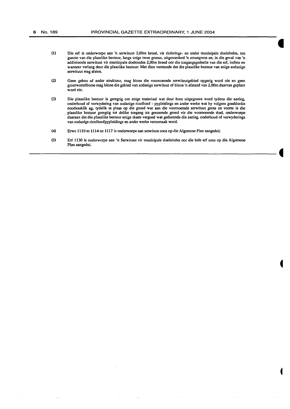- (1) Die erf is onderworpe aan 'n serwituut 2,00m breed, vir riolerings- en ander munisipale doeleindes, ten gunste van die plaaslike bestuur, tangs enige twee grense, uitgesonderd 'n straatgrens en, in die geval van 'n addisionele serwituut vir munisipale doeleindes 2,00m breed oor die toegangsgedeelte van die erf, indien en wanneer verlang deur die plaaslike bestuur: Met dien verstande dat die plaaslike bestuur van enige sodanige serwituut mag afsien.
- (2) Geen gebou of ander struktuur, mag binne die voomoemde serwituutgebied opgerig word nie en geen grootwortelbome mag binne die gebied van sodanige serwituut of binne 'n afstand van 2,00m daarvan geplant word nie.
- (3) Die plaaslike bestuur is geregtig om enige materiaal wat deur hom uitgegrawe word tydens die aanleg, onderhoud of verwydering van sodanige rioolhoof - pypleidings en ander werke wat hy volgens goeddunke noodsaaklik ag, tydelik te plaas op die grond wat aan die voomoemde serwituut grens en voorts is die plaaslike bestuur geregtig tot delike toegang tot genoemde grond vir die voomoemde doe!, onderworpe daaraan dat.die plaaslike bestuur enige skade vergoed wat gedurende die aanleg, onderhoud of verwyderings van sodanige rioolhoofpypleidings en ander werke veroorsaak word.
- (4) Erwe 1110 to 1114 en 1117 is onderworpe aan serwitute soos op die Algemene Plan aangedui;
- (5) Erf 1130 is onderworpe aan 'n Serwituut vir munisipale doeleindes oor die hele erf soos op die Algernene Plan aangedui.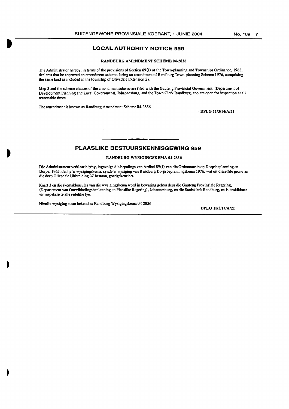### **LOCAL AUTHORITY NOTICE 959**

#### RAND BURG AMENDMENT SCHEME 04-2836

The Administrator hereby, in terms of the provisions of Section 89(1) of the Town-planning and Townships Ordinance, 1965, declares that he approved an amendment scheme, being an amendment of Randburg Town-planning Scheme 1976, comprising the same land as included in the township of Olivedale Extension 27.

Map 3 and the scheme clauses of the amendment scheme are filed with the Gauteng Provincial Government, (Department of Development Planning and Local Government), Johannesburg, and the Town Clerk Randburg, and are open for inspection at all reasonable times

The amendment is known as Randburg Amendment Scheme 04-2836

DPLG 11/3/14/A/21

## **PLAASLIKE BESTUURSKENNISGEWING 959**

#### RANDBURG WYSIGINGSKEMA 04-2836

Die Administrateur verklaar hierby, ingevolge die bepalings van Artikel 89(1) van die Ordonnansie op Dorpsbeplanning en Dorpe, 1965, dat hy 'n wysigingskema, synde 'n wysiging van Randburg Dorpsbeplanningskema 1976, wat uit dieselfde grond as die dorp Olivedale Uitbreiding 27 bestaan, goedgekeur het.

Kaart 3 en die skemaklousules van die wysigingskema word in bewaring gehou deur die Gauteng Provinsiale Regering, (Departement van Ontwikkelingsbeplanning en Plaaslike Regering), Johannesburg, en die Stadsklerk Randburg, en is beskikbaar vir inspeksie te aile redelike tye.

Hierdie wysiging staan bekend as Randburg Wysigingskema 04-2836

DPLG 1113/14/A/21